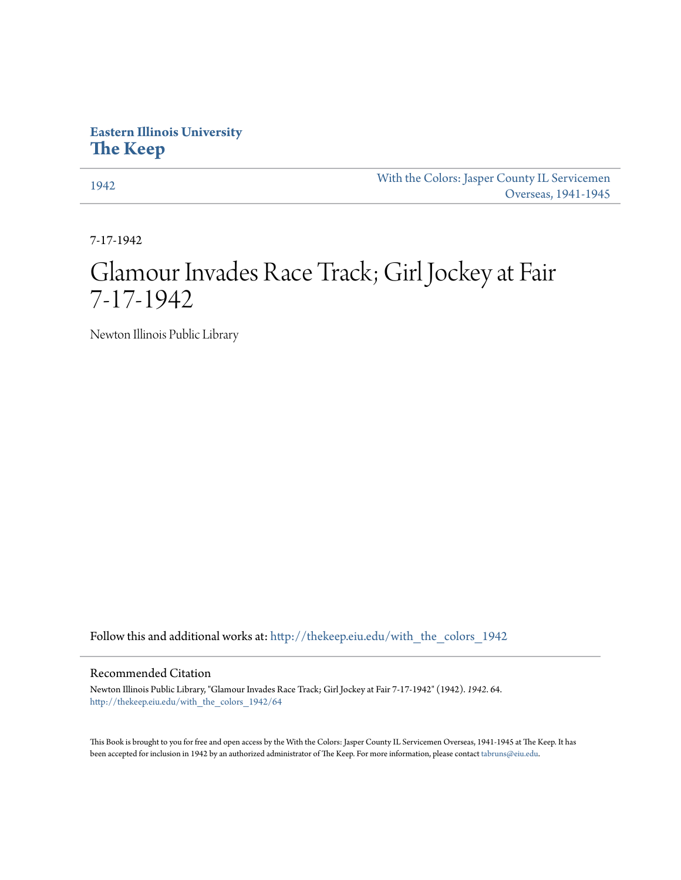## **Eastern Illinois University [The Keep](http://thekeep.eiu.edu?utm_source=thekeep.eiu.edu%2Fwith_the_colors_1942%2F64&utm_medium=PDF&utm_campaign=PDFCoverPages)**

[1942](http://thekeep.eiu.edu/with_the_colors_1942?utm_source=thekeep.eiu.edu%2Fwith_the_colors_1942%2F64&utm_medium=PDF&utm_campaign=PDFCoverPages) [With the Colors: Jasper County IL Servicemen](http://thekeep.eiu.edu/with_the_colors?utm_source=thekeep.eiu.edu%2Fwith_the_colors_1942%2F64&utm_medium=PDF&utm_campaign=PDFCoverPages) [Overseas, 1941-1945](http://thekeep.eiu.edu/with_the_colors?utm_source=thekeep.eiu.edu%2Fwith_the_colors_1942%2F64&utm_medium=PDF&utm_campaign=PDFCoverPages)

7-17-1942

# Glamour Invades Race Track; Girl Jockey at Fair 7-17-1942

Newton Illinois Public Library

Follow this and additional works at: [http://thekeep.eiu.edu/with\\_the\\_colors\\_1942](http://thekeep.eiu.edu/with_the_colors_1942?utm_source=thekeep.eiu.edu%2Fwith_the_colors_1942%2F64&utm_medium=PDF&utm_campaign=PDFCoverPages)

### Recommended Citation

Newton Illinois Public Library, "Glamour Invades Race Track; Girl Jockey at Fair 7-17-1942" (1942). *1942*. 64. [http://thekeep.eiu.edu/with\\_the\\_colors\\_1942/64](http://thekeep.eiu.edu/with_the_colors_1942/64?utm_source=thekeep.eiu.edu%2Fwith_the_colors_1942%2F64&utm_medium=PDF&utm_campaign=PDFCoverPages)

This Book is brought to you for free and open access by the With the Colors: Jasper County IL Servicemen Overseas, 1941-1945 at The Keep. It has been accepted for inclusion in 1942 by an authorized administrator of The Keep. For more information, please contact [tabruns@eiu.edu](mailto:tabruns@eiu.edu).